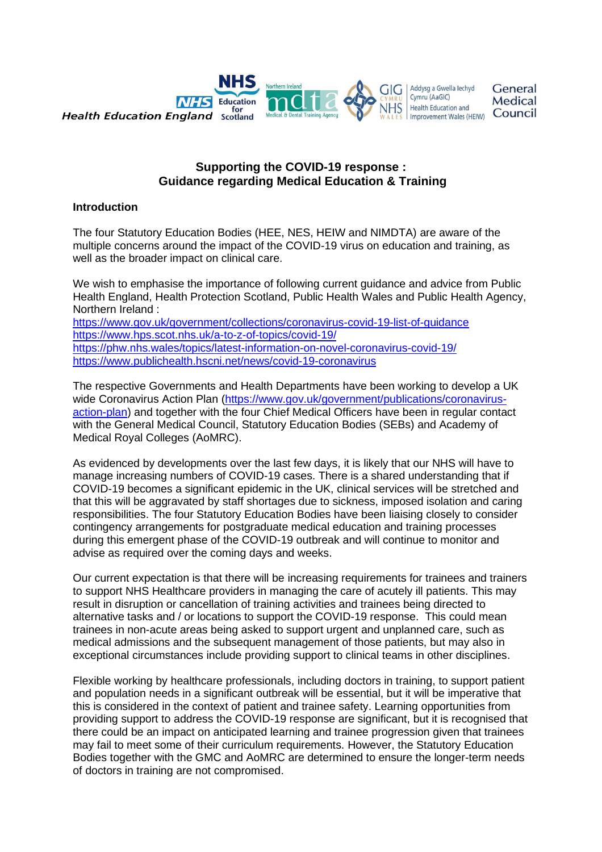

## **Supporting the COVID-19 response : Guidance regarding Medical Education & Training**

## **Introduction**

The four Statutory Education Bodies (HEE, NES, HEIW and NIMDTA) are aware of the multiple concerns around the impact of the COVID-19 virus on education and training, as well as the broader impact on clinical care.

We wish to emphasise the importance of following current guidance and advice from Public Health England, Health Protection Scotland, Public Health Wales and Public Health Agency, Northern Ireland : <https://www.gov.uk/government/collections/coronavirus-covid-19-list-of-guidance> <https://www.hps.scot.nhs.uk/a-to-z-of-topics/covid-19/> <https://phw.nhs.wales/topics/latest-information-on-novel-coronavirus-covid-19/>

<https://www.publichealth.hscni.net/news/covid-19-coronavirus>

The respective Governments and Health Departments have been working to develop a UK wide Coronavirus Action Plan [\(https://www.gov.uk/government/publications/coronavirus](https://www.gov.uk/government/publications/coronavirus-action-plan)[action-plan\)](https://www.gov.uk/government/publications/coronavirus-action-plan) and together with the four Chief Medical Officers have been in regular contact with the General Medical Council, Statutory Education Bodies (SEBs) and Academy of Medical Royal Colleges (AoMRC).

As evidenced by developments over the last few days, it is likely that our NHS will have to manage increasing numbers of COVID-19 cases. There is a shared understanding that if COVID-19 becomes a significant epidemic in the UK, clinical services will be stretched and that this will be aggravated by staff shortages due to sickness, imposed isolation and caring responsibilities. The four Statutory Education Bodies have been liaising closely to consider contingency arrangements for postgraduate medical education and training processes during this emergent phase of the COVID-19 outbreak and will continue to monitor and advise as required over the coming days and weeks.

Our current expectation is that there will be increasing requirements for trainees and trainers to support NHS Healthcare providers in managing the care of acutely ill patients. This may result in disruption or cancellation of training activities and trainees being directed to alternative tasks and / or locations to support the COVID-19 response. This could mean trainees in non-acute areas being asked to support urgent and unplanned care, such as medical admissions and the subsequent management of those patients, but may also in exceptional circumstances include providing support to clinical teams in other disciplines.

Flexible working by healthcare professionals, including doctors in training, to support patient and population needs in a significant outbreak will be essential, but it will be imperative that this is considered in the context of patient and trainee safety. Learning opportunities from providing support to address the COVID-19 response are significant, but it is recognised that there could be an impact on anticipated learning and trainee progression given that trainees may fail to meet some of their curriculum requirements. However, the Statutory Education Bodies together with the GMC and AoMRC are determined to ensure the longer-term needs of doctors in training are not compromised.